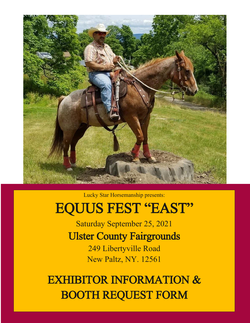

Lucky Star Horsemanship presents:

# EQUUS FEST "EAST"

Saturday September 25, 2021 Ulster County Fairgrounds 249 Libertyville Road New Paltz, NY. 12561

EXHIBITOR INFORMATION & BOOTH REQUEST FORM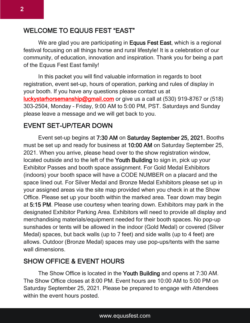We are glad you are participating in **Equus Fest East**, which is a regional festival focusing on all things horse and rural lifestyle! It is a celebration of our community, of education, innovation and inspiration. Thank you for being a part of the Equus Fest East family!

In this packet you will find valuable information in regards to boot registration, event set-up, hours of operation, parking and rules of display in your booth. If you have any questions please contact us at [luckystarhorsemanship@gmail.com](mailto:luckystarhorsemanship@gmail.com) or give us a call at (530) 919-8767 or (518) 303-2504, Monday – Friday, 9:00 AM to 5:00 PM, PST. Saturdays and Sunday please leave a message and we will get back to you.

# EVENT SET-UP/TEAR DOWN

Event set-up begins at 7:30 AM on Saturday September 25, 2021. Booths must be set up and ready for business at 10:00 AM on Saturday September 25, 2021. When you arrive, please head over to the show registration window, located outside and to the left of the Youth Building to sign in, pick up your Exhibitor Passes and booth space assignment. For Gold Medal Exhibitors (indoors) your booth space will have a CODE NUMBER on a placard and the space lined out. For Silver Medal and Bronze Medal Exhibitors please set up in your assigned areas via the site map provided when you check in at the Show Office. Please set up your booth within the marked area. Tear down may begin at 5:15 PM. Please use courtesy when tearing down. Exhibitors may park in the designated Exhibitor Parking Area. Exhibitors will need to provide all display and merchandising materials/equipment needed for their booth spaces. No pop-up sunshades or tents will be allowed in the indoor (Gold Medal) or covered (Silver Medal) spaces, but back walls (up to 7 feet) and side walls (up to 4 feet) are allows. Outdoor (Bronze Medal) spaces may use pop-ups/tents with the same wall dimensions.

# SHOW OFFICE & EVENT HOURS

The Show Office is located in the Youth Building and opens at 7:30 AM. The Show Office closes at 8:00 PM. Event hours are 10:00 AM to 5:00 PM on Saturday September 25, 2021. Please be prepared to engage with Attendees within the event hours posted.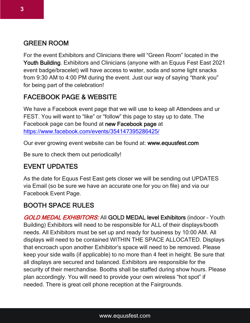# GREEN ROOM

For the event Exhibitors and Clinicians there will "Green Room" located in the Youth Building. Exhibitors and Clinicians (anyone with an Equus Fest East 2021 event badge/bracelet) will have access to water, soda and some light snacks from 9:30 AM to 4:00 PM during the event. Just our way of saying "thank you" for being part of the celebration!

# FACEBOOK PAGE & WEBSITE

We have a Facebook event page that we will use to keep all Attendees and ur FEST. You will want to "like" or "follow" this page to stay up to date. The Facebook page can be found at new Facebook page at <https://www.facebook.com/events/354147395286425/>

Our ever growing event website can be found at: www.equusfest.com

Be sure to check them out periodically!

#### EVENT UPDATES

As the date for Equus Fest East gets closer we will be sending out UPDATES via Email (so be sure we have an accurate one for you on file) and via our Facebook Event Page.

#### BOOTH SPACE RULES

GOLD MEDAL EXHIBITORS: All GOLD MEDAL level Exhibitors (indoor - Youth Building) Exhibitors will need to be responsible for ALL of their displays/booth needs. All Exhibitors must be set up and ready for business by 10:00 AM. All displays will need to be contained WITHIN THE SPACE ALLOCATED. Displays that encroach upon another Exhibitor's space will need to be removed. Please keep your side walls (if applicable) to no more than 4 feet in height. Be sure that all displays are secured and balanced. Exhibitors are responsible for the security of their merchandise. Booths shall be staffed during show hours. Please plan accordingly. You will need to provide your own wireless "hot spot" if needed. There is great cell phone reception at the Fairgrounds.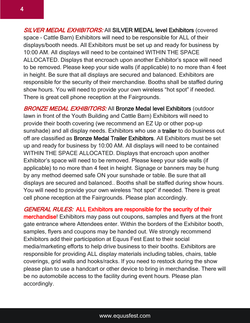**SILVER MEDAL EXHIBITORS:** All SILVER MEDAL level Exhibitors (covered space – Cattle Barn) Exhibitors will need to be responsible for ALL of their displays/booth needs. All Exhibitors must be set up and ready for business by 10:00 AM. All displays will need to be contained WITHIN THE SPACE ALLOCATED. Displays that encroach upon another Exhibitor's space will need to be removed. Please keep your side walls (if applicable) to no more than 4 feet in height. Be sure that all displays are secured and balanced. Exhibitors are responsible for the security of their merchandise. Booths shall be staffed during show hours. You will need to provide your own wireless "hot spot" if needed. There is great cell phone reception at the Fairgrounds.

**BRONZE MEDAL EXHIBITORS:** All Bronze Medal level Exhibitors (outdoor lawn in front of the Youth Building and Cattle Barn) Exhibitors will need to provide their booth covering (we recommend an EZ Up or other pop-up sunshade) and all display needs. Exhibitors who use a trailer to do business out off are classified as Bronze Medal Trailer Exhibitors. All Exhibitors must be set up and ready for business by 10:00 AM. All displays will need to be contained WITHIN THE SPACE ALLOCATED. Displays that encroach upon another Exhibitor's space will need to be removed. Please keep your side walls (if applicable) to no more than 4 feet in height. Signage or banners may be hung by any method deemed safe ON your sunshade or table. Be sure that all displays are secured and balanced.. Booths shall be staffed during show hours. You will need to provide your own wireless "hot spot" if needed. There is great cell phone reception at the Fairgrounds. Please plan accordingly.

GENERAL RULES: ALL Exhibitors are responsible for the security of their merchandise! Exhibitors may pass out coupons, samples and flyers at the front gate entrance where Attendees enter. Within the borders of the Exhibitor booth, samples, flyers and coupons may be handed out. We strongly recommend Exhibitors add their participation at Equus Fest East to their social media/marketing efforts to help drive business to their booths. Exhibitors are responsible for providing ALL display materials including tables, chairs, table coverings, grid walls and hooks/racks. If you need to restock during the show please plan to use a handcart or other device to bring in merchandise. There will be no automobile access to the facility during event hours. Please plan accordingly.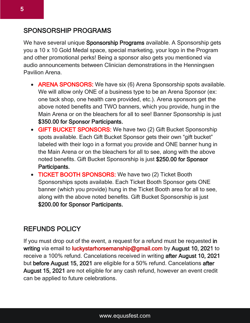### SPONSORSHIP PROGRAMS

We have several unique Sponsorship Programs available. A Sponsorship gets you a 10 x 10 Gold Medal space, special marketing, your logo in the Program and other promotional perks! Being a sponsor also gets you mentioned via audio announcements between Clinician demonstrations in the Henningsen Pavilion Arena.

- ARENA SPONSORS: We have six (6) Arena Sponsorship spots available. We will allow only ONE of a business type to be an Arena Sponsor (ex: one tack shop, one health care provided, etc.). Arena sponsors get the above noted benefits and TWO banners, which you provide, hung in the Main Arena or on the bleachers for all to see! Banner Sponsorship is just \$350.00 for Sponsor Participants.
- GIFT BUCKET SPONSORS: We have two (2) Gift Bucket Sponsorship spots available. Each Gift Bucket Sponsor gets their own "gift bucket" labeled with their logo in a format you provide and ONE banner hung in the Main Arena or on the bleachers for all to see, along with the above noted benefits. Gift Bucket Sponsorship is just \$250.00 for Sponsor Participants.
- TICKET BOOTH SPONSORS: We have two (2) Ticket Booth Sponsorships spots available. Each Ticket Booth Sponsor gets ONE banner (which you provide) hung in the Ticket Booth area for all to see, along with the above noted benefits. Gift Bucket Sponsorship is just \$200.00 for Sponsor Participants.

#### REFUNDS POLICY

If you must drop out of the event, a request for a refund must be requested in writing via email to luckystarhorsemanship@gmail.com by August 10, 2021 to receive a 100% refund. Cancelations received in writing after August 10, 2021 but before August 15, 2021 are eligible for a 50% refund. Cancelations after August 15, 2021 are not eligible for any cash refund, however an event credit can be applied to future celebrations.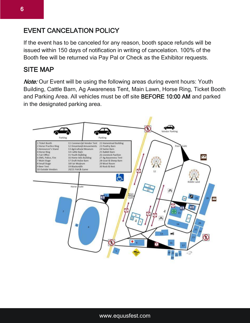# EVENT CANCELATION POLICY

If the event has to be canceled for any reason, booth space refunds will be issued within 150 days of notification in writing of cancelation. 100% of the Booth fee will be returned via Pay Pal or Check as the Exhibitor requests.

#### SITE MAP

Note: Our Event will be using the following areas during event hours: Youth Building, Cattle Barn, Ag Awareness Tent, Main Lawn, Horse Ring, Ticket Booth and Parking Area. All vehicles must be off site BEFORE 10:00 AM and parked in the designated parking area.

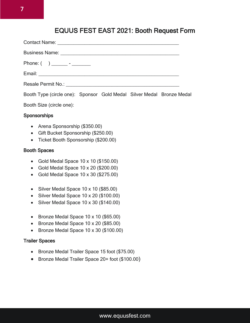## EQUUS FEST EAST 2021: Booth Request Form

| Resale Permit No.: \\connection \\connection \\connection \\connection \\connection \\connection \\connection \\connection \\connection \\connection \\connection \\connection \\connection \\connection \\connection \\connec |
|--------------------------------------------------------------------------------------------------------------------------------------------------------------------------------------------------------------------------------|

Booth Type (circle one): Sponsor Gold Medal Silver Medal Bronze Medal

Booth Size (circle one):

#### **Sponsorships**

- Arena Sponsorship (\$350.00)
- Gift Bucket Sponsorship (\$250.00)
- Ticket Booth Sponsorship (\$200.00)

#### Booth Spaces

- Gold Medal Space  $10 \times 10$  (\$150.00)
- Gold Medal Space 10 x 20 (\$200.00)
- Gold Medal Space 10 x 30 (\$275.00)
- Silver Medal Space 10 x 10 (\$85.00)
- Silver Medal Space 10 x 20 (\$100.00)
- $\bullet$  Silver Medal Space 10 x 30 (\$140.00)
- Bronze Medal Space  $10 \times 10$  (\$65.00)
- Bronze Medal Space 10 x 20 (\$85.00)
- Bronze Medal Space 10 x 30 (\$100.00)

#### Trailer Spaces

- Bronze Medal Trailer Space 15 foot (\$75.00)
- Bronze Medal Trailer Space 20+ foot (\$100.00)